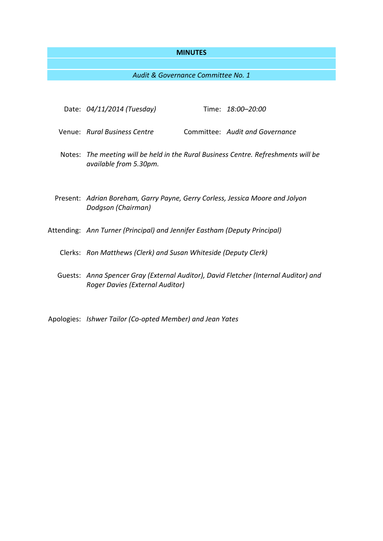#### **MINUTES**

*Audit & Governance Committee No. 1*

- Date: *04/11/2014 (Tuesday)* Time: *18:00–20:00*
- Venue: *Rural Business Centre* Committee: *Audit and Governance*
- Notes: *The meeting will be held in the Rural Business Centre. Refreshments will be available from 5.30pm.*
- Present: *Adrian Boreham, Garry Payne, Gerry Corless, Jessica Moore and Jolyon Dodgson (Chairman)*
- Attending: *Ann Turner (Principal) and Jennifer Eastham (Deputy Principal)*
	- Clerks: *Ron Matthews (Clerk) and Susan Whiteside (Deputy Clerk)*
	- Guests: *Anna Spencer Gray (External Auditor), David Fletcher (Internal Auditor) and Roger Davies (External Auditor)*
- Apologies: *Ishwer Tailor (Co-opted Member) and Jean Yates*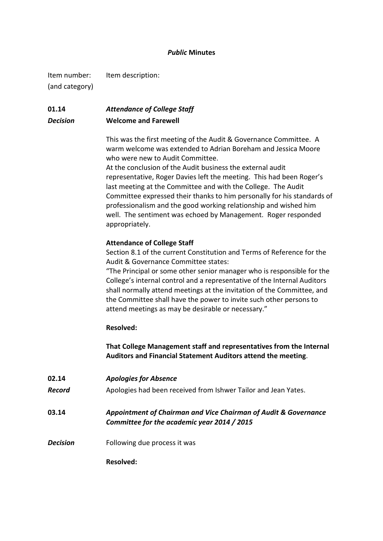### *Public* **Minutes**

Item number: Item description: (and category)

# **01.14** *Attendance of College Staff Decision* **Welcome and Farewell**

This was the first meeting of the Audit & Governance Committee. A warm welcome was extended to Adrian Boreham and Jessica Moore who were new to Audit Committee.

At the conclusion of the Audit business the external audit representative, Roger Davies left the meeting. This had been Roger's last meeting at the Committee and with the College. The Audit Committee expressed their thanks to him personally for his standards of professionalism and the good working relationship and wished him well. The sentiment was echoed by Management. Roger responded appropriately.

### **Attendance of College Staff**

Section 8.1 of the current Constitution and Terms of Reference for the Audit & Governance Committee states:

"The Principal or some other senior manager who is responsible for the College's internal control and a representative of the Internal Auditors shall normally attend meetings at the invitation of the Committee, and the Committee shall have the power to invite such other persons to attend meetings as may be desirable or necessary."

### **Resolved:**

**That College Management staff and representatives from the Internal Auditors and Financial Statement Auditors attend the meeting**.

| 02.14           | <b>Apologies for Absence</b>                                                                                   |
|-----------------|----------------------------------------------------------------------------------------------------------------|
| Record          | Apologies had been received from Ishwer Tailor and Jean Yates.                                                 |
| 03.14           | Appointment of Chairman and Vice Chairman of Audit & Governance<br>Committee for the academic year 2014 / 2015 |
| <b>Decision</b> | Following due process it was                                                                                   |
|                 | Resolved:                                                                                                      |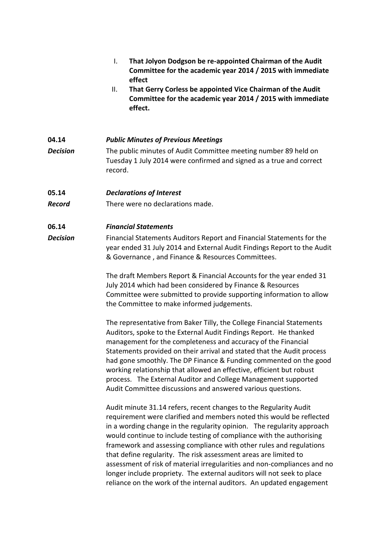|                 | That Jolyon Dodgson be re-appointed Chairman of the Audit<br>I.<br>Committee for the academic year 2014 / 2015 with immediate<br>effect<br>That Gerry Corless be appointed Vice Chairman of the Audit<br>ΙΙ.<br>Committee for the academic year 2014 / 2015 with immediate<br>effect.                                                                                                                                                                                                                                                                               |
|-----------------|---------------------------------------------------------------------------------------------------------------------------------------------------------------------------------------------------------------------------------------------------------------------------------------------------------------------------------------------------------------------------------------------------------------------------------------------------------------------------------------------------------------------------------------------------------------------|
| 04.14           | <b>Public Minutes of Previous Meetings</b>                                                                                                                                                                                                                                                                                                                                                                                                                                                                                                                          |
| <b>Decision</b> | The public minutes of Audit Committee meeting number 89 held on<br>Tuesday 1 July 2014 were confirmed and signed as a true and correct<br>record.                                                                                                                                                                                                                                                                                                                                                                                                                   |
| 05.14           | <b>Declarations of Interest</b>                                                                                                                                                                                                                                                                                                                                                                                                                                                                                                                                     |
| <b>Record</b>   | There were no declarations made.                                                                                                                                                                                                                                                                                                                                                                                                                                                                                                                                    |
| 06.14           | <b>Financial Statements</b>                                                                                                                                                                                                                                                                                                                                                                                                                                                                                                                                         |
| <b>Decision</b> | Financial Statements Auditors Report and Financial Statements for the<br>year ended 31 July 2014 and External Audit Findings Report to the Audit<br>& Governance, and Finance & Resources Committees.                                                                                                                                                                                                                                                                                                                                                               |
|                 | The draft Members Report & Financial Accounts for the year ended 31<br>July 2014 which had been considered by Finance & Resources<br>Committee were submitted to provide supporting information to allow<br>the Committee to make informed judgements.                                                                                                                                                                                                                                                                                                              |
|                 | The representative from Baker Tilly, the College Financial Statements<br>Auditors, spoke to the External Audit Findings Report. He thanked<br>management for the completeness and accuracy of the Financial<br>Statements provided on their arrival and stated that the Audit process<br>had gone smoothly. The DP Finance & Funding commented on the good<br>working relationship that allowed an effective, efficient but robust<br>process. The External Auditor and College Management supported<br>Audit Committee discussions and answered various questions. |
|                 | Audit minute 31.14 refers, recent changes to the Regularity Audit<br>requirement were clarified and members noted this would be reflected<br>in a wording change in the regularity opinion. The regularity approach<br>would continue to include testing of compliance with the authorising<br>framework and assessing compliance with other rules and regulations                                                                                                                                                                                                  |

that define regularity. The risk assessment areas are limited to assessment of risk of material irregularities and non-compliances and no longer include propriety. The external auditors will not seek to place reliance on the work of the internal auditors. An updated engagement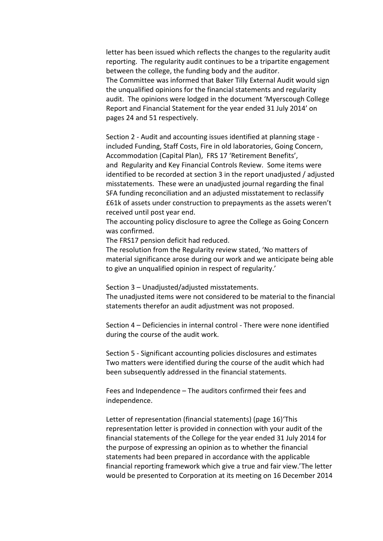letter has been issued which reflects the changes to the regularity audit reporting. The regularity audit continues to be a tripartite engagement between the college, the funding body and the auditor. The Committee was informed that Baker Tilly External Audit would sign the unqualified opinions for the financial statements and regularity audit. The opinions were lodged in the document 'Myerscough College Report and Financial Statement for the year ended 31 July 2014' on pages 24 and 51 respectively.

Section 2 - Audit and accounting issues identified at planning stage included Funding, Staff Costs, Fire in old laboratories, Going Concern, Accommodation (Capital Plan), FRS 17 'Retirement Benefits', and Regularity and Key Financial Controls Review. Some items were identified to be recorded at section 3 in the report unadjusted / adjusted misstatements. These were an unadjusted journal regarding the final SFA funding reconciliation and an adjusted misstatement to reclassify £61k of assets under construction to prepayments as the assets weren't received until post year end.

The accounting policy disclosure to agree the College as Going Concern was confirmed.

The FRS17 pension deficit had reduced.

The resolution from the Regularity review stated, 'No matters of material significance arose during our work and we anticipate being able to give an unqualified opinion in respect of regularity.'

Section 3 – Unadjusted/adjusted misstatements.

The unadjusted items were not considered to be material to the financial statements therefor an audit adjustment was not proposed.

Section 4 – Deficiencies in internal control - There were none identified during the course of the audit work.

Section 5 - Significant accounting policies disclosures and estimates Two matters were identified during the course of the audit which had been subsequently addressed in the financial statements.

Fees and Independence – The auditors confirmed their fees and independence.

Letter of representation (financial statements) (page 16)'This representation letter is provided in connection with your audit of the financial statements of the College for the year ended 31 July 2014 for the purpose of expressing an opinion as to whether the financial statements had been prepared in accordance with the applicable financial reporting framework which give a true and fair view.'The letter would be presented to Corporation at its meeting on 16 December 2014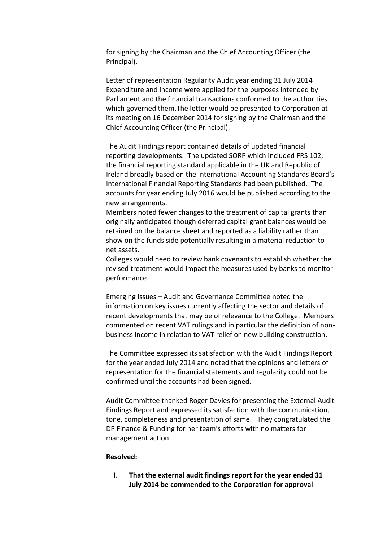for signing by the Chairman and the Chief Accounting Officer (the Principal).

Letter of representation Regularity Audit year ending 31 July 2014 Expenditure and income were applied for the purposes intended by Parliament and the financial transactions conformed to the authorities which governed them.The letter would be presented to Corporation at its meeting on 16 December 2014 for signing by the Chairman and the Chief Accounting Officer (the Principal).

The Audit Findings report contained details of updated financial reporting developments. The updated SORP which included FRS 102, the financial reporting standard applicable in the UK and Republic of Ireland broadly based on the International Accounting Standards Board's International Financial Reporting Standards had been published. The accounts for year ending July 2016 would be published according to the new arrangements.

Members noted fewer changes to the treatment of capital grants than originally anticipated though deferred capital grant balances would be retained on the balance sheet and reported as a liability rather than show on the funds side potentially resulting in a material reduction to net assets.

Colleges would need to review bank covenants to establish whether the revised treatment would impact the measures used by banks to monitor performance.

Emerging Issues – Audit and Governance Committee noted the information on key issues currently affecting the sector and details of recent developments that may be of relevance to the College. Members commented on recent VAT rulings and in particular the definition of nonbusiness income in relation to VAT relief on new building construction.

The Committee expressed its satisfaction with the Audit Findings Report for the year ended July 2014 and noted that the opinions and letters of representation for the financial statements and regularity could not be confirmed until the accounts had been signed.

Audit Committee thanked Roger Davies for presenting the External Audit Findings Report and expressed its satisfaction with the communication, tone, completeness and presentation of same. They congratulated the DP Finance & Funding for her team's efforts with no matters for management action.

### **Resolved:**

I. **That the external audit findings report for the year ended 31 July 2014 be commended to the Corporation for approval**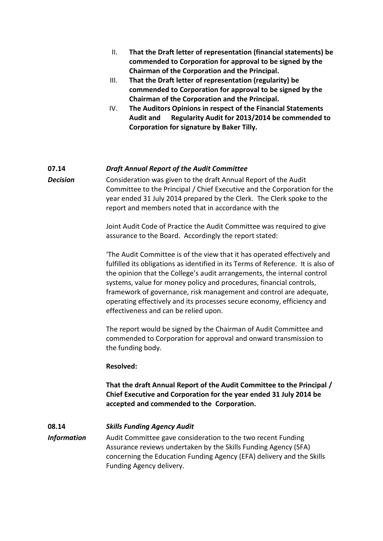- II. **That the Draft letter of representation (financial statements) be commended to Corporation for approval to be signed by the Chairman of the Corporation and the Principal.**
- III. **That the Draft letter of representation (regularity) be commended to Corporation for approval to be signed by the Chairman of the Corporation and the Principal.**
- IV. **The Auditors Opinions in respect of the Financial Statements Audit and Regularity Audit for 2013/2014 be commended to Corporation for signature by Baker Tilly.**

### **07.14** *Draft Annual Report of the Audit Committee*

*Decision* Consideration was given to the draft Annual Report of the Audit Committee to the Principal / Chief Executive and the Corporation for the year ended 31 July 2014 prepared by the Clerk. The Clerk spoke to the report and members noted that in accordance with the

> Joint Audit Code of Practice the Audit Committee was required to give assurance to the Board. Accordingly the report stated:

'The Audit Committee is of the view that it has operated effectively and fulfilled its obligations as identified in its Terms of Reference. It is also of the opinion that the College's audit arrangements, the internal control systems, value for money policy and procedures, financial controls, framework of governance, risk management and control are adequate, operating effectively and its processes secure economy, efficiency and effectiveness and can be relied upon.

The report would be signed by the Chairman of Audit Committee and commended to Corporation for approval and onward transmission to the funding body.

### **Resolved:**

**That the draft Annual Report of the Audit Committee to the Principal / Chief Executive and Corporation for the year ended 31 July 2014 be accepted and commended to the Corporation.**

**08.14** *Skills Funding Agency Audit Information* Audit Committee gave consideration to the two recent Funding Assurance reviews undertaken by the Skills Funding Agency (SFA) concerning the Education Funding Agency (EFA) delivery and the Skills Funding Agency delivery.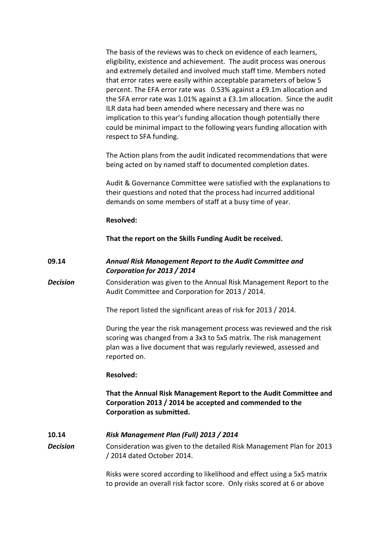The basis of the reviews was to check on evidence of each learners, eligibility, existence and achievement. The audit process was onerous and extremely detailed and involved much staff time. Members noted that error rates were easily within acceptable parameters of below 5 percent. The EFA error rate was 0.53% against a £9.1m allocation and the SFA error rate was 1.01% against a £3.1m allocation. Since the audit ILR data had been amended where necessary and there was no implication to this year's funding allocation though potentially there could be minimal impact to the following years funding allocation with respect to SFA funding.

The Action plans from the audit indicated recommendations that were being acted on by named staff to documented completion dates.

Audit & Governance Committee were satisfied with the explanations to their questions and noted that the process had incurred additional demands on some members of staff at a busy time of year.

### **Resolved:**

**That the report on the Skills Funding Audit be received.**

### **09.14** *Annual Risk Management Report to the Audit Committee and Corporation for 2013 / 2014*

**Decision** Consideration was given to the Annual Risk Management Report to the Audit Committee and Corporation for 2013 / 2014.

The report listed the significant areas of risk for 2013 / 2014.

During the year the risk management process was reviewed and the risk scoring was changed from a 3x3 to 5x5 matrix. The risk management plan was a live document that was regularly reviewed, assessed and reported on.

### **Resolved:**

**That the Annual Risk Management Report to the Audit Committee and Corporation 2013 / 2014 be accepted and commended to the Corporation as submitted.**

### **10.14** *Risk Management Plan (Full) 2013 / 2014*

*Decision* Consideration was given to the detailed Risk Management Plan for 2013 / 2014 dated October 2014.

> Risks were scored according to likelihood and effect using a 5x5 matrix to provide an overall risk factor score. Only risks scored at 6 or above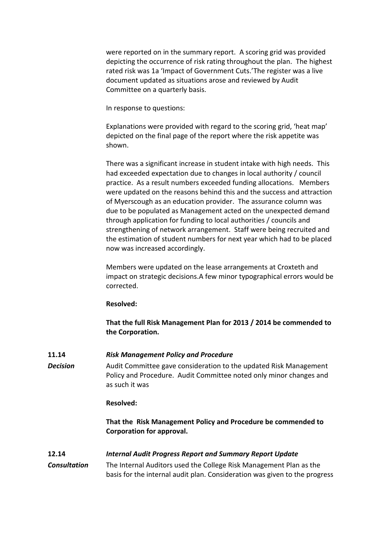were reported on in the summary report. A scoring grid was provided depicting the occurrence of risk rating throughout the plan. The highest rated risk was 1a 'Impact of Government Cuts.'The register was a live document updated as situations arose and reviewed by Audit Committee on a quarterly basis.

In response to questions:

Explanations were provided with regard to the scoring grid, 'heat map' depicted on the final page of the report where the risk appetite was shown.

There was a significant increase in student intake with high needs. This had exceeded expectation due to changes in local authority / council practice. As a result numbers exceeded funding allocations. Members were updated on the reasons behind this and the success and attraction of Myerscough as an education provider. The assurance column was due to be populated as Management acted on the unexpected demand through application for funding to local authorities / councils and strengthening of network arrangement. Staff were being recruited and the estimation of student numbers for next year which had to be placed now was increased accordingly.

Members were updated on the lease arrangements at Croxteth and impact on strategic decisions.A few minor typographical errors would be corrected.

### **Resolved:**

**That the full Risk Management Plan for 2013 / 2014 be commended to the Corporation.**

# **11.14** *Risk Management Policy and Procedure*

**Decision** Audit Committee gave consideration to the updated Risk Management Policy and Procedure. Audit Committee noted only minor changes and as such it was

### **Resolved:**

**That the Risk Management Policy and Procedure be commended to Corporation for approval.**

# **12.14** *Internal Audit Progress Report and Summary Report Update*

*Consultation* The Internal Auditors used the College Risk Management Plan as the basis for the internal audit plan. Consideration was given to the progress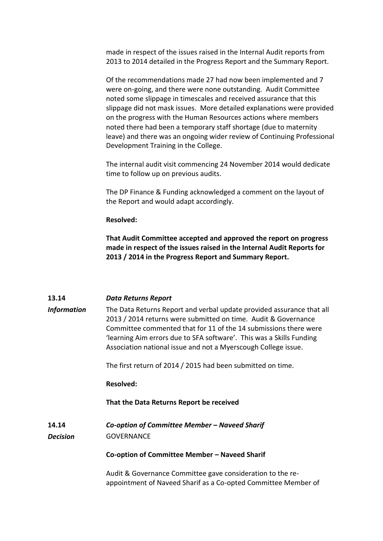made in respect of the issues raised in the Internal Audit reports from 2013 to 2014 detailed in the Progress Report and the Summary Report.

Of the recommendations made 27 had now been implemented and 7 were on-going, and there were none outstanding. Audit Committee noted some slippage in timescales and received assurance that this slippage did not mask issues. More detailed explanations were provided on the progress with the Human Resources actions where members noted there had been a temporary staff shortage (due to maternity leave) and there was an ongoing wider review of Continuing Professional Development Training in the College.

The internal audit visit commencing 24 November 2014 would dedicate time to follow up on previous audits.

The DP Finance & Funding acknowledged a comment on the layout of the Report and would adapt accordingly.

### **Resolved:**

**That Audit Committee accepted and approved the report on progress made in respect of the issues raised in the Internal Audit Reports for 2013 / 2014 in the Progress Report and Summary Report.**

### **13.14** *Data Returns Report*

*Information* The Data Returns Report and verbal update provided assurance that all 2013 / 2014 returns were submitted on time. Audit & Governance Committee commented that for 11 of the 14 submissions there were 'learning Aim errors due to SFA software'. This was a Skills Funding Association national issue and not a Myerscough College issue.

The first return of 2014 / 2015 had been submitted on time.

### **Resolved:**

### **That the Data Returns Report be received**

**14.14** *Co-option of Committee Member – Naveed Sharif Decision* GOVERNANCE

**Co-option of Committee Member – Naveed Sharif**

Audit & Governance Committee gave consideration to the reappointment of Naveed Sharif as a Co-opted Committee Member of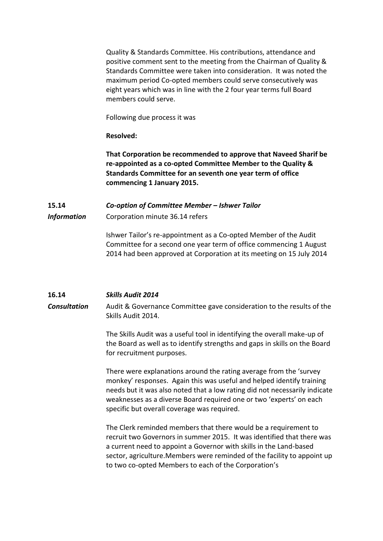Quality & Standards Committee. His contributions, attendance and positive comment sent to the meeting from the Chairman of Quality & Standards Committee were taken into consideration. It was noted the maximum period Co-opted members could serve consecutively was eight years which was in line with the 2 four year terms full Board members could serve.

Following due process it was

**Resolved:**

**That Corporation be recommended to approve that Naveed Sharif be re-appointed as a co-opted Committee Member to the Quality & Standards Committee for an seventh one year term of office commencing 1 January 2015.**

# **15.14** *Co-option of Committee Member – Ishwer Tailor Information* Corporation minute 36.14 refers

Ishwer Tailor's re-appointment as a Co-opted Member of the Audit Committee for a second one year term of office commencing 1 August 2014 had been approved at Corporation at its meeting on 15 July 2014

### **16.14** *Skills Audit 2014*

*Consultation* Audit & Governance Committee gave consideration to the results of the Skills Audit 2014.

> The Skills Audit was a useful tool in identifying the overall make-up of the Board as well as to identify strengths and gaps in skills on the Board for recruitment purposes.

There were explanations around the rating average from the 'survey monkey' responses. Again this was useful and helped identify training needs but it was also noted that a low rating did not necessarily indicate weaknesses as a diverse Board required one or two 'experts' on each specific but overall coverage was required.

The Clerk reminded members that there would be a requirement to recruit two Governors in summer 2015. It was identified that there was a current need to appoint a Governor with skills in the Land-based sector, agriculture.Members were reminded of the facility to appoint up to two co-opted Members to each of the Corporation's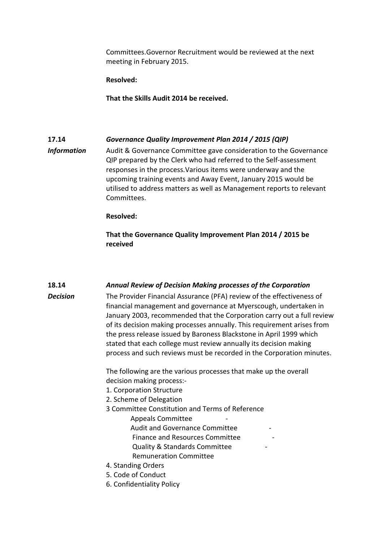Committees.Governor Recruitment would be reviewed at the next meeting in February 2015.

**Resolved:**

**That the Skills Audit 2014 be received.**

# **17.14** *Governance Quality Improvement Plan 2014 / 2015 (QIP)*

*Information* Audit & Governance Committee gave consideration to the Governance QIP prepared by the Clerk who had referred to the Self-assessment responses in the process.Various items were underway and the upcoming training events and Away Event, January 2015 would be utilised to address matters as well as Management reports to relevant Committees.

### **Resolved:**

**That the Governance Quality Improvement Plan 2014 / 2015 be received**

### **18.14** *Annual Review of Decision Making processes of the Corporation*

**Decision** The Provider Financial Assurance (PFA) review of the effectiveness of financial management and governance at Myerscough, undertaken in January 2003, recommended that the Corporation carry out a full review of its decision making processes annually. This requirement arises from the press release issued by Baroness Blackstone in April 1999 which stated that each college must review annually its decision making process and such reviews must be recorded in the Corporation minutes.

> The following are the various processes that make up the overall decision making process:-

- 1. Corporation Structure
- 2. Scheme of Delegation
- 3 Committee Constitution and Terms of Reference

 Appeals Committee - Audit and Governance Committee - Finance and Resources Committee - Quality & Standards Committee - Remuneration Committee

- 4. Standing Orders
- 5. Code of Conduct
- 6. Confidentiality Policy